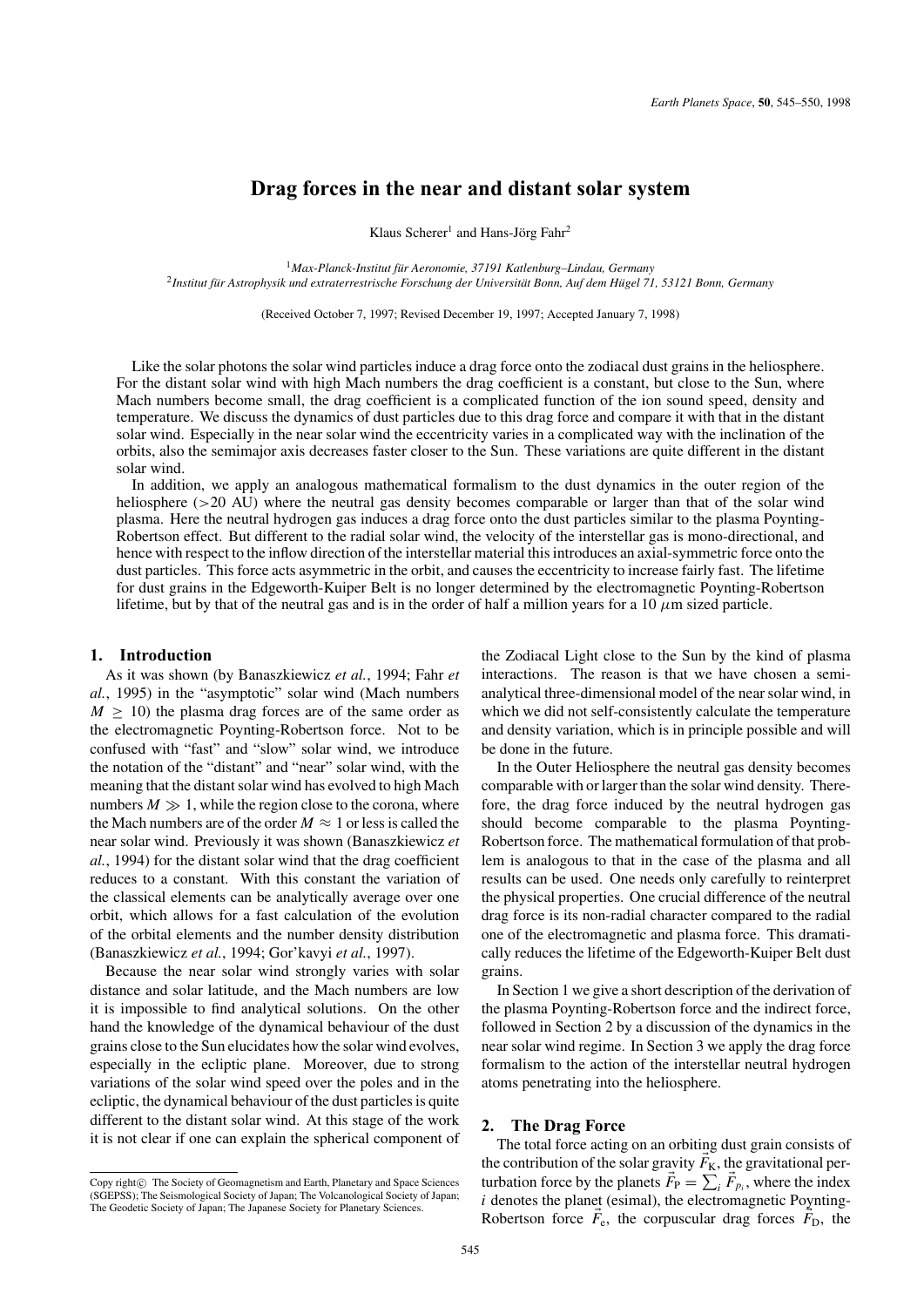# **Drag forces in the near and distant solar system**

Klaus Scherer<sup>1</sup> and Hans-Jörg Fahr<sup>2</sup>

<sup>1</sup>*Max-Planck-Institut fur Aeronomie, 37191 Katlenburg–Lindau, Germany ¨* <sup>2</sup>Institut für Astrophysik und extraterrestrische Forschung der Universität Bonn, Auf dem Hügel 71, 53121 Bonn, Germany

(Received October 7, 1997; Revised December 19, 1997; Accepted January 7, 1998)

Like the solar photons the solar wind particles induce a drag force onto the zodiacal dust grains in the heliosphere. For the distant solar wind with high Mach numbers the drag coefficient is a constant, but close to the Sun, where Mach numbers become small, the drag coefficient is a complicated function of the ion sound speed, density and temperature. We discuss the dynamics of dust particles due to this drag force and compare it with that in the distant solar wind. Especially in the near solar wind the eccentricity varies in a complicated way with the inclination of the orbits, also the semimajor axis decreases faster closer to the Sun. These variations are quite different in the distant solar wind.

In addition, we apply an analogous mathematical formalism to the dust dynamics in the outer region of the heliosphere (>20 AU) where the neutral gas density becomes comparable or larger than that of the solar wind plasma. Here the neutral hydrogen gas induces a drag force onto the dust particles similar to the plasma Poynting-Robertson effect. But different to the radial solar wind, the velocity of the interstellar gas is mono-directional, and hence with respect to the inflow direction of the interstellar material this introduces an axial-symmetric force onto the dust particles. This force acts asymmetric in the orbit, and causes the eccentricity to increase fairly fast. The lifetime for dust grains in the Edgeworth-Kuiper Belt is no longer determined by the electromagnetic Poynting-Robertson lifetime, but by that of the neutral gas and is in the order of half a million years for a 10  $\mu$ m sized particle.

# **1. Introduction**

As it was shown (by Banaszkiewicz *et al.*, 1994; Fahr *et al.*, 1995) in the "asymptotic" solar wind (Mach numbers  $M \geq 10$ ) the plasma drag forces are of the same order as the electromagnetic Poynting-Robertson force. Not to be confused with "fast" and "slow" solar wind, we introduce the notation of the "distant" and "near" solar wind, with the meaning that the distant solar wind has evolved to high Mach numbers  $M \gg 1$ , while the region close to the corona, where the Mach numbers are of the order  $M \approx 1$  or less is called the near solar wind. Previously it was shown (Banaszkiewicz *et al.*, 1994) for the distant solar wind that the drag coefficient reduces to a constant. With this constant the variation of the classical elements can be analytically average over one orbit, which allows for a fast calculation of the evolution of the orbital elements and the number density distribution (Banaszkiewicz *et al.*, 1994; Gor'kavyi *et al.*, 1997).

Because the near solar wind strongly varies with solar distance and solar latitude, and the Mach numbers are low it is impossible to find analytical solutions. On the other hand the knowledge of the dynamical behaviour of the dust grains close to the Sun elucidates how the solar wind evolves, especially in the ecliptic plane. Moreover, due to strong variations of the solar wind speed over the poles and in the ecliptic, the dynamical behaviour of the dust particles is quite different to the distant solar wind. At this stage of the work it is not clear if one can explain the spherical component of the Zodiacal Light close to the Sun by the kind of plasma interactions. The reason is that we have chosen a semianalytical three-dimensional model of the near solar wind, in which we did not self-consistently calculate the temperature and density variation, which is in principle possible and will be done in the future.

In the Outer Heliosphere the neutral gas density becomes comparable with or larger than the solar wind density. Therefore, the drag force induced by the neutral hydrogen gas should become comparable to the plasma Poynting-Robertson force. The mathematical formulation of that problem is analogous to that in the case of the plasma and all results can be used. One needs only carefully to reinterpret the physical properties. One crucial difference of the neutral drag force is its non-radial character compared to the radial one of the electromagnetic and plasma force. This dramatically reduces the lifetime of the Edgeworth-Kuiper Belt dust grains.

In Section 1 we give a short description of the derivation of the plasma Poynting-Robertson force and the indirect force, followed in Section 2 by a discussion of the dynamics in the near solar wind regime. In Section 3 we apply the drag force formalism to the action of the interstellar neutral hydrogen atoms penetrating into the heliosphere.

# **2. The Drag Force**

The total force acting on an orbiting dust grain consists of the contribution of the solar gravity  $\vec{F}_{K}$ , the gravitational perturbation force by the planets  $F_P = \sum_i F_{p_i}$ , where the index *i* denotes the planet (esimal), the electromagnetic Poynting-Robertson force  $\vec{F}_e$ , the corpuscular drag forces  $\vec{F}_D$ , the

Copy right $@$  The Society of Geomagnetism and Earth, Planetary and Space Sciences (SGEPSS); The Seismological Society of Japan; The Volcanological Society of Japan; The Geodetic Society of Japan; The Japanese Society for Planetary Sciences.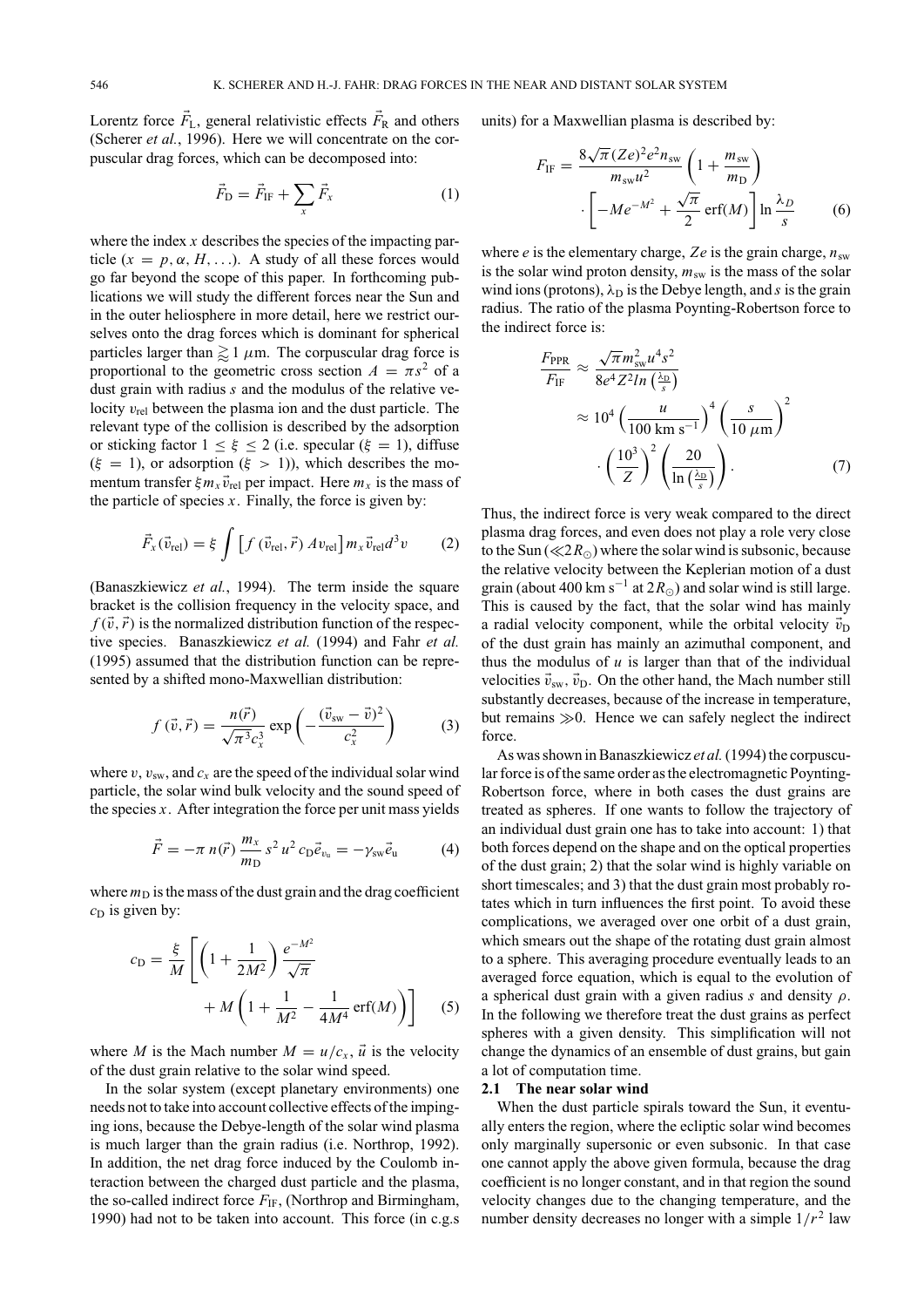Lorentz force  $\vec{F}_{L}$ , general relativistic effects  $\vec{F}_{R}$  and others (Scherer *et al.*, 1996). Here we will concentrate on the corpuscular drag forces, which can be decomposed into:

$$
\vec{F}_{\rm D} = \vec{F}_{\rm IF} + \sum_{x} \vec{F}_{x}
$$
 (1)

where the index *x* describes the species of the impacting particle  $(x = p, \alpha, H, \ldots)$ . A study of all these forces would go far beyond the scope of this paper. In forthcoming publications we will study the different forces near the Sun and in the outer heliosphere in more detail, here we restrict ourselves onto the drag forces which is dominant for spherical particles larger than  $\gtrapprox 1 \mu$ m. The corpuscular drag force is proportional to the geometric cross section  $A = \pi s^2$  of a dust grain with radius *s* and the modulus of the relative velocity  $v_{rel}$  between the plasma ion and the dust particle. The relevant type of the collision is described by the adsorption or sticking factor  $1 \leq \xi \leq 2$  (i.e. specular ( $\xi = 1$ ), diffuse  $(\xi = 1)$ , or adsorption  $(\xi > 1)$ ), which describes the momentum transfer  $\xi m_x \vec{v}_{rel}$  per impact. Here  $m_x$  is the mass of the particle of species  $x$ . Finally, the force is given by:

$$
\vec{F}_x(\vec{v}_{\text{rel}}) = \xi \int \left[ f(\vec{v}_{\text{rel}}, \vec{r}) A v_{\text{rel}} \right] m_x \vec{v}_{\text{rel}} d^3 v \tag{2}
$$

(Banaszkiewicz *et al.*, 1994). The term inside the square bracket is the collision frequency in the velocity space, and  $f(\vec{v}, \vec{r})$  is the normalized distribution function of the respective species. Banaszkiewicz *et al.* (1994) and Fahr *et al.* (1995) assumed that the distribution function can be represented by a shifted mono-Maxwellian distribution:

$$
f(\vec{v}, \vec{r}) = \frac{n(\vec{r})}{\sqrt{\pi^3} c_x^3} \exp\left(-\frac{(\vec{v}_{sw} - \vec{v})^2}{c_x^2}\right)
$$
 (3)

where  $v, v_{sw}$ , and  $c_x$  are the speed of the individual solar wind particle, the solar wind bulk velocity and the sound speed of the species *x*. After integration the force per unit mass yields

$$
\vec{F} = -\pi \; n(\vec{r}) \; \frac{m_x}{m_D} \, s^2 \, u^2 \, c_D \vec{e}_{v_u} = -\gamma_{sw} \vec{e}_u \tag{4}
$$

where  $m<sub>D</sub>$  is the mass of the dust grain and the drag coefficient  $c<sub>D</sub>$  is given by:

$$
c_{\rm D} = \frac{\xi}{M} \left[ \left( 1 + \frac{1}{2M^2} \right) \frac{e^{-M^2}}{\sqrt{\pi}} + M \left( 1 + \frac{1}{M^2} - \frac{1}{4M^4} \operatorname{erf}(M) \right) \right]
$$
(5)

where *M* is the Mach number  $M = u/c_x$ ,  $\vec{u}$  is the velocity of the dust grain relative to the solar wind speed.

In the solar system (except planetary environments) one needs not to take into account collective effects of the impinging ions, because the Debye-length of the solar wind plasma is much larger than the grain radius (i.e. Northrop, 1992). In addition, the net drag force induced by the Coulomb interaction between the charged dust particle and the plasma, the so-called indirect force  $F_{\text{IF}}$ , (Northrop and Birmingham, 1990) had not to be taken into account. This force (in c.g.s

units) for a Maxwellian plasma is described by:

$$
F_{\rm IF} = \frac{8\sqrt{\pi} (Ze)^2 e^2 n_{\rm sw}}{m_{\rm sw} u^2} \left(1 + \frac{m_{\rm sw}}{m_{\rm D}}\right)
$$

$$
\left[-Me^{-M^2} + \frac{\sqrt{\pi}}{2} \operatorname{erf}(M)\right] \ln \frac{\lambda_D}{s} \tag{6}
$$

where  $e$  is the elementary charge,  $Ze$  is the grain charge,  $n_{sw}$ is the solar wind proton density,  $m_{sw}$  is the mass of the solar wind ions (protons),  $\lambda_D$  is the Debye length, and *s* is the grain radius. The ratio of the plasma Poynting-Robertson force to the indirect force is:

$$
\frac{F_{\text{PPR}}}{F_{\text{IF}}} \approx \frac{\sqrt{\pi} m_{\text{sw}}^2 u^4 s^2}{8e^4 Z^2 ln(\frac{\lambda_{\text{D}}}{s})}
$$
\n
$$
\approx 10^4 \left(\frac{u}{100 \text{ km s}^{-1}}\right)^4 \left(\frac{s}{10 \mu \text{m}}\right)^2
$$
\n
$$
\cdot \left(\frac{10^3}{Z}\right)^2 \left(\frac{20}{\ln(\frac{\lambda_{\text{D}}}{s})}\right). \tag{7}
$$

Thus, the indirect force is very weak compared to the direct plasma drag forces, and even does not play a role very close to the Sun ( $\ll 2R_{\odot}$ ) where the solar wind is subsonic, because the relative velocity between the Keplerian motion of a dust grain (about 400 km s<sup>-1</sup> at  $2R_{\odot}$ ) and solar wind is still large. This is caused by the fact, that the solar wind has mainly a radial velocity component, while the orbital velocity  $\vec{v}_D$ of the dust grain has mainly an azimuthal component, and thus the modulus of  $u$  is larger than that of the individual velocities  $\vec{v}_{sw}$ ,  $\vec{v}_{D}$ . On the other hand, the Mach number still substantly decreases, because of the increase in temperature, but remains  $\gg 0$ . Hence we can safely neglect the indirect force.

As was shown in Banaszkiewicz *et al.*(1994) the corpuscular force is of the same order as the electromagnetic Poynting-Robertson force, where in both cases the dust grains are treated as spheres. If one wants to follow the trajectory of an individual dust grain one has to take into account: 1) that both forces depend on the shape and on the optical properties of the dust grain; 2) that the solar wind is highly variable on short timescales; and 3) that the dust grain most probably rotates which in turn influences the first point. To avoid these complications, we averaged over one orbit of a dust grain, which smears out the shape of the rotating dust grain almost to a sphere. This averaging procedure eventually leads to an averaged force equation, which is equal to the evolution of a spherical dust grain with a given radius *s* and density ρ. In the following we therefore treat the dust grains as perfect spheres with a given density. This simplification will not change the dynamics of an ensemble of dust grains, but gain a lot of computation time.

## **2.1 The near solar wind**

When the dust particle spirals toward the Sun, it eventually enters the region, where the ecliptic solar wind becomes only marginally supersonic or even subsonic. In that case one cannot apply the above given formula, because the drag coefficient is no longer constant, and in that region the sound velocity changes due to the changing temperature, and the number density decreases no longer with a simple  $1/r^2$  law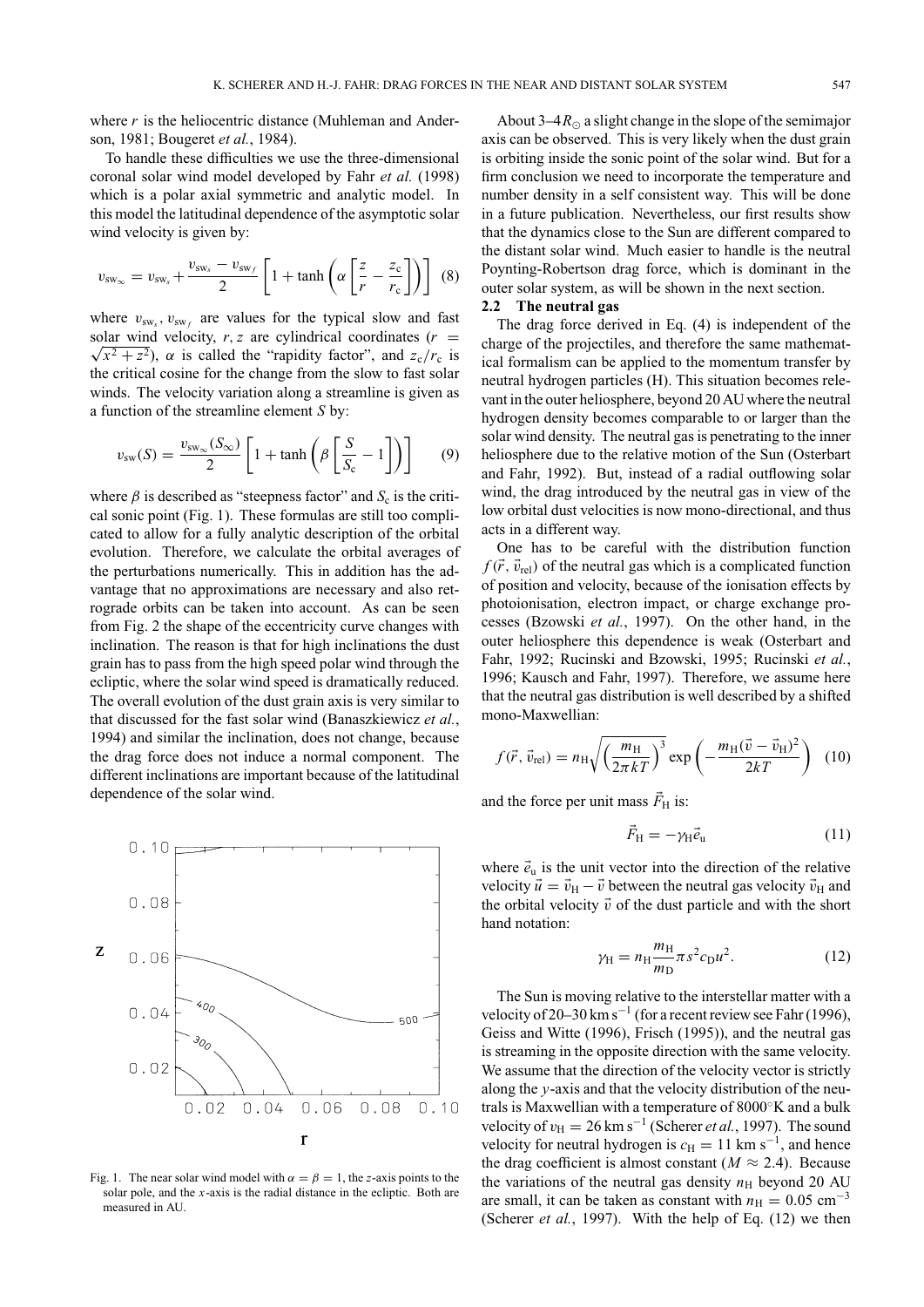where *r* is the heliocentric distance (Muhleman and Anderson, 1981; Bougeret *et al.*, 1984).

To handle these difficulties we use the three-dimensional coronal solar wind model developed by Fahr *et al.* (1998) which is a polar axial symmetric and analytic model. In this model the latitudinal dependence of the asymptotic solar wind velocity is given by:

$$
v_{\rm sw_{\infty}} = v_{\rm sw_{s}} + \frac{v_{\rm sw_{s}} - v_{\rm sw_{f}}}{2} \left[ 1 + \tanh\left( \alpha \left[ \frac{z}{r} - \frac{z_{\rm c}}{r_{\rm c}} \right] \right) \right] \tag{8}
$$

where  $v_{sw}$ ,  $v_{sw}$  are values for the typical slow and fast solar wind velocity, r, *z* are cylindrical coordinates  $(r = \sqrt{x^2 + z^2})$ ,  $\alpha$  is called the "rapidity factor", and  $\alpha$  /r, is  $\sqrt{x^2 + z^2}$ ,  $\alpha$  is called the "rapidity factor", and  $z_c/r_c$  is the critical cosine for the change from the slow to fast solar winds. The velocity variation along a streamline is given as a function of the streamline element *S* by:

$$
v_{\rm sw}(S) = \frac{v_{\rm sw_{\infty}}(S_{\infty})}{2} \left[ 1 + \tanh\left(\beta \left[ \frac{S}{S_{\rm c}} - 1 \right] \right) \right] \tag{9}
$$

where  $\beta$  is described as "steepness factor" and  $S_c$  is the critical sonic point (Fig. 1). These formulas are still too complicated to allow for a fully analytic description of the orbital evolution. Therefore, we calculate the orbital averages of the perturbations numerically. This in addition has the advantage that no approximations are necessary and also retrograde orbits can be taken into account. As can be seen from Fig. 2 the shape of the eccentricity curve changes with inclination. The reason is that for high inclinations the dust grain has to pass from the high speed polar wind through the ecliptic, where the solar wind speed is dramatically reduced. The overall evolution of the dust grain axis is very similar to that discussed for the fast solar wind (Banaszkiewicz *et al.*, 1994) and similar the inclination, does not change, because the drag force does not induce a normal component. The different inclinations are important because of the latitudinal dependence of the solar wind.



Fig. 1. The near solar wind model with  $\alpha = \beta = 1$ , the *z*-axis points to the solar pole, and the *x*-axis is the radial distance in the ecliptic. Both are measured in AU.

About  $3-4R_{\odot}$  a slight change in the slope of the semimajor axis can be observed. This is very likely when the dust grain is orbiting inside the sonic point of the solar wind. But for a firm conclusion we need to incorporate the temperature and number density in a self consistent way. This will be done in a future publication. Nevertheless, our first results show that the dynamics close to the Sun are different compared to the distant solar wind. Much easier to handle is the neutral Poynting-Robertson drag force, which is dominant in the outer solar system, as will be shown in the next section.

#### **2.2 The neutral gas**

The drag force derived in Eq. (4) is independent of the charge of the projectiles, and therefore the same mathematical formalism can be applied to the momentum transfer by neutral hydrogen particles (H). This situation becomes relevant in the outer heliosphere, beyond 20 AU where the neutral hydrogen density becomes comparable to or larger than the solar wind density. The neutral gas is penetrating to the inner heliosphere due to the relative motion of the Sun (Osterbart and Fahr, 1992). But, instead of a radial outflowing solar wind, the drag introduced by the neutral gas in view of the low orbital dust velocities is now mono-directional, and thus acts in a different way.

One has to be careful with the distribution function  $f(\vec{r}, \vec{v}_{rel})$  of the neutral gas which is a complicated function of position and velocity, because of the ionisation effects by photoionisation, electron impact, or charge exchange processes (Bzowski *et al.*, 1997). On the other hand, in the outer heliosphere this dependence is weak (Osterbart and Fahr, 1992; Rucinski and Bzowski, 1995; Rucinski *et al.*, 1996; Kausch and Fahr, 1997). Therefore, we assume here that the neutral gas distribution is well described by a shifted mono-Maxwellian:

$$
f(\vec{r}, \vec{v}_{\text{rel}}) = n_{\text{H}} \sqrt{\left(\frac{m_{\text{H}}}{2\pi kT}\right)^3} \exp\left(-\frac{m_{\text{H}}(\vec{v} - \vec{v}_{\text{H}})^2}{2kT}\right) (10)
$$

and the force per unit mass  $\vec{F}_{\text{H}}$  is:

$$
\vec{F}_{\rm H} = -\gamma_{\rm H} \vec{e}_{\rm u} \tag{11}
$$

where  $\vec{e}_u$  is the unit vector into the direction of the relative velocity  $\vec{u} = \vec{v}_{\text{H}} - \vec{v}$  between the neutral gas velocity  $\vec{v}_{\text{H}}$  and the orbital velocity  $\vec{v}$  of the dust particle and with the short hand notation:

$$
\gamma_{\rm H} = n_{\rm H} \frac{m_{\rm H}}{m_{\rm D}} \pi s^2 c_{\rm D} u^2. \tag{12}
$$

The Sun is moving relative to the interstellar matter with a velocity of 20–30 km s<sup>-1</sup> (for a recent review see Fahr (1996), Geiss and Witte (1996), Frisch (1995)), and the neutral gas is streaming in the opposite direction with the same velocity. We assume that the direction of the velocity vector is strictly along the *y*-axis and that the velocity distribution of the neutrals is Maxwellian with a temperature of 8000◦K and a bulk velocity of  $v_{\text{H}} = 26 \text{ km s}^{-1}$  (Scherer *et al.*, 1997). The sound velocity for neutral hydrogen is  $c_H = 11$  km s<sup>-1</sup>, and hence the drag coefficient is almost constant ( $M \approx 2.4$ ). Because the variations of the neutral gas density  $n<sub>H</sub>$  beyond 20 AU are small, it can be taken as constant with  $n_{\rm H} = 0.05$  cm<sup>-3</sup> (Scherer *et al.*, 1997). With the help of Eq. (12) we then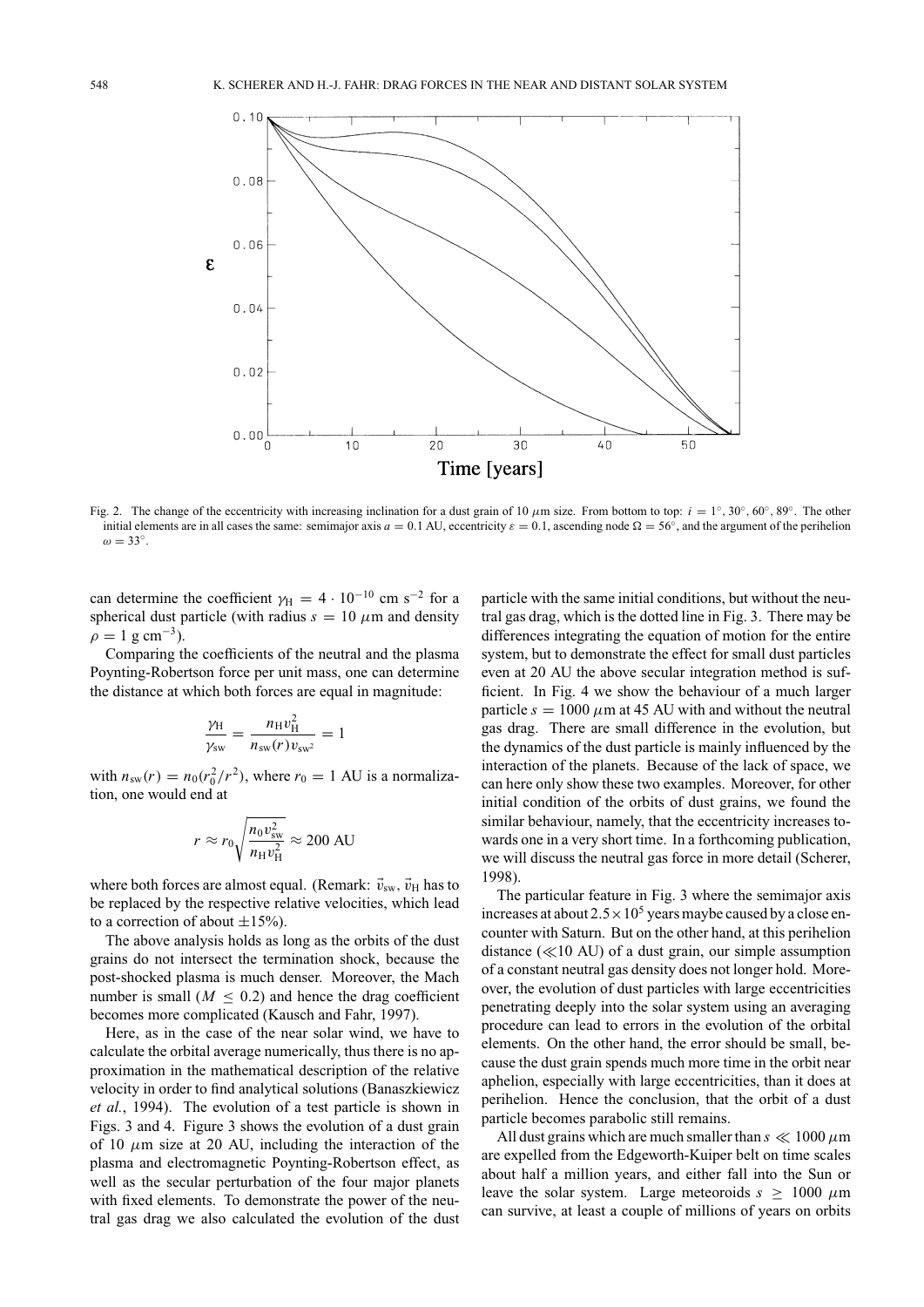

Fig. 2. The change of the eccentricity with increasing inclination for a dust grain of 10  $\mu$ m size. From bottom to top: *i* = 1°, 30°, 60°, 89°. The other initial elements are in all cases the same: semimajor axis  $a = 0.1$  AU, eccentricity  $\varepsilon = 0.1$ , ascending node  $\Omega = 56^\circ$ , and the argument of the perihelion  $\omega = 33^\circ$ .

can determine the coefficient  $\gamma_H = 4 \cdot 10^{-10}$  cm s<sup>-2</sup> for a spherical dust particle (with radius  $s = 10 \ \mu m$  and density  $\rho = 1$  g cm<sup>-3</sup>).

Comparing the coefficients of the neutral and the plasma Poynting-Robertson force per unit mass, one can determine the distance at which both forces are equal in magnitude:

$$
\frac{\gamma_{\rm H}}{\gamma_{\rm sw}} = \frac{n_{\rm H}v_{\rm H}^2}{n_{\rm sw}(r)v_{\rm sw^2}} = 1
$$

with  $n_{sw}(r) = n_0(r_0^2/r^2)$ , where  $r_0 = 1$  AU is a normalization, one would end at

$$
r \approx r_0 \sqrt{\frac{n_0 v_{\rm sw}^2}{n_{\rm H} v_{\rm H}^2}} \approx 200 \text{ AU}
$$

where both forces are almost equal. (Remark:  $\vec{v}_{sw}$ ,  $\vec{v}_{H}$  has to be replaced by the respective relative velocities, which lead to a correction of about  $\pm 15\%$ ).

The above analysis holds as long as the orbits of the dust grains do not intersect the termination shock, because the post-shocked plasma is much denser. Moreover, the Mach number is small  $(M < 0.2)$  and hence the drag coefficient becomes more complicated (Kausch and Fahr, 1997).

Here, as in the case of the near solar wind, we have to calculate the orbital average numerically, thus there is no approximation in the mathematical description of the relative velocity in order to find analytical solutions (Banaszkiewicz *et al.*, 1994). The evolution of a test particle is shown in Figs. 3 and 4. Figure 3 shows the evolution of a dust grain of 10  $\mu$ m size at 20 AU, including the interaction of the plasma and electromagnetic Poynting-Robertson effect, as well as the secular perturbation of the four major planets with fixed elements. To demonstrate the power of the neutral gas drag we also calculated the evolution of the dust

particle with the same initial conditions, but without the neutral gas drag, which is the dotted line in Fig. 3. There may be differences integrating the equation of motion for the entire system, but to demonstrate the effect for small dust particles even at 20 AU the above secular integration method is sufficient. In Fig. 4 we show the behaviour of a much larger particle  $s = 1000 \mu m$  at 45 AU with and without the neutral gas drag. There are small difference in the evolution, but the dynamics of the dust particle is mainly influenced by the interaction of the planets. Because of the lack of space, we can here only show these two examples. Moreover, for other initial condition of the orbits of dust grains, we found the similar behaviour, namely, that the eccentricity increases towards one in a very short time. In a forthcoming publication, we will discuss the neutral gas force in more detail (Scherer, 1998).

The particular feature in Fig. 3 where the semimajor axis increases at about  $2.5 \times 10^5$  years maybe caused by a close encounter with Saturn. But on the other hand, at this perihelion distance  $(\ll 10 \text{ AU})$  of a dust grain, our simple assumption of a constant neutral gas density does not longer hold. Moreover, the evolution of dust particles with large eccentricities penetrating deeply into the solar system using an averaging procedure can lead to errors in the evolution of the orbital elements. On the other hand, the error should be small, because the dust grain spends much more time in the orbit near aphelion, especially with large eccentricities, than it does at perihelion. Hence the conclusion, that the orbit of a dust particle becomes parabolic still remains.

All dust grains which are much smaller than  $s \ll 1000 \mu m$ are expelled from the Edgeworth-Kuiper belt on time scales about half a million years, and either fall into the Sun or leave the solar system. Large meteoroids  $s \geq 1000 \ \mu m$ can survive, at least a couple of millions of years on orbits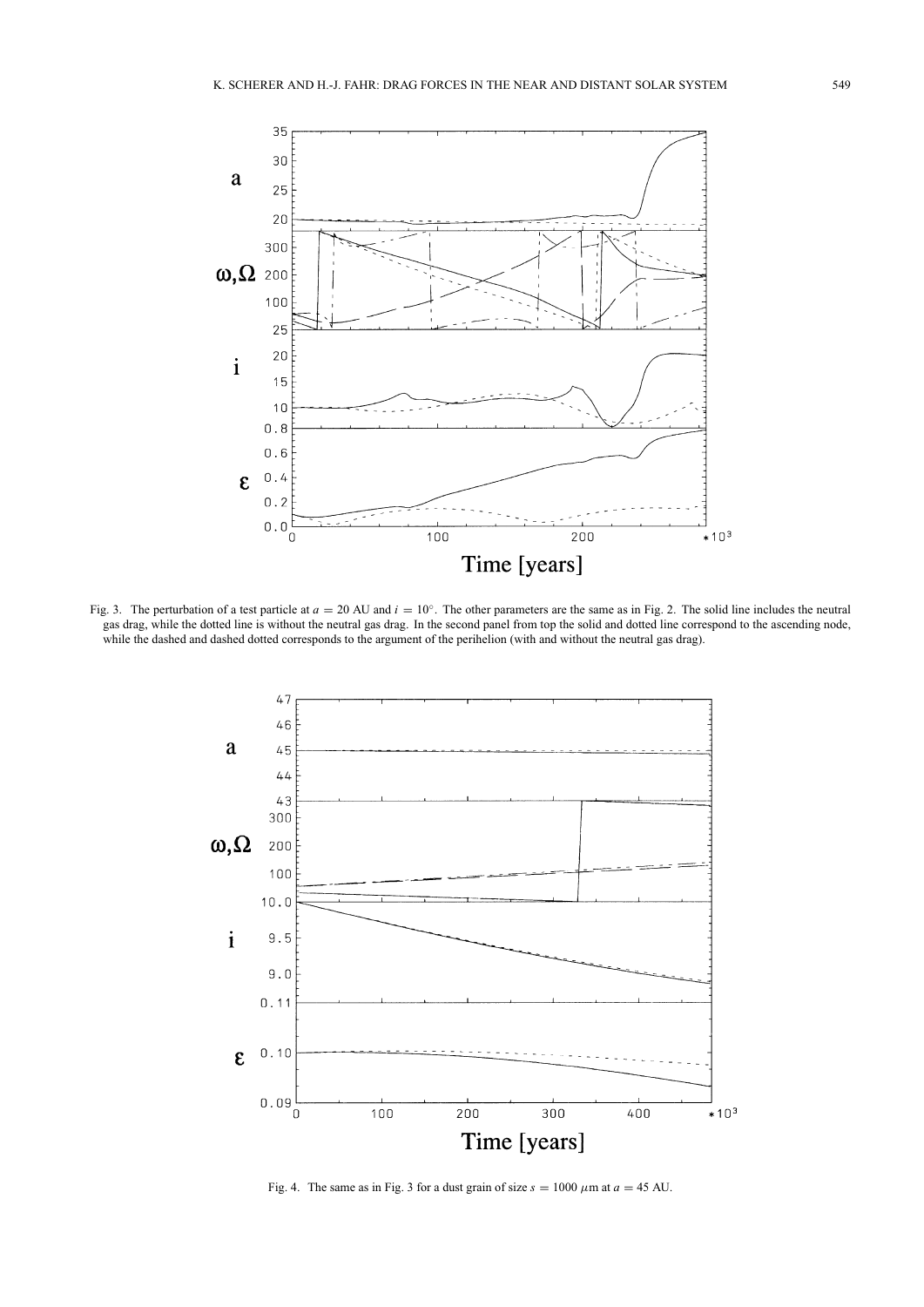

Fig. 3. The perturbation of a test particle at  $a = 20$  AU and  $i = 10°$ . The other parameters are the same as in Fig. 2. The solid line includes the neutral gas drag, while the dotted line is without the neutral gas drag. In the second panel from top the solid and dotted line correspond to the ascending node, while the dashed and dashed dotted corresponds to the argument of the perihelion (with and without the neutral gas drag).



Fig. 4. The same as in Fig. 3 for a dust grain of size  $s = 1000 \mu m$  at  $a = 45 \text{ AU}$ .